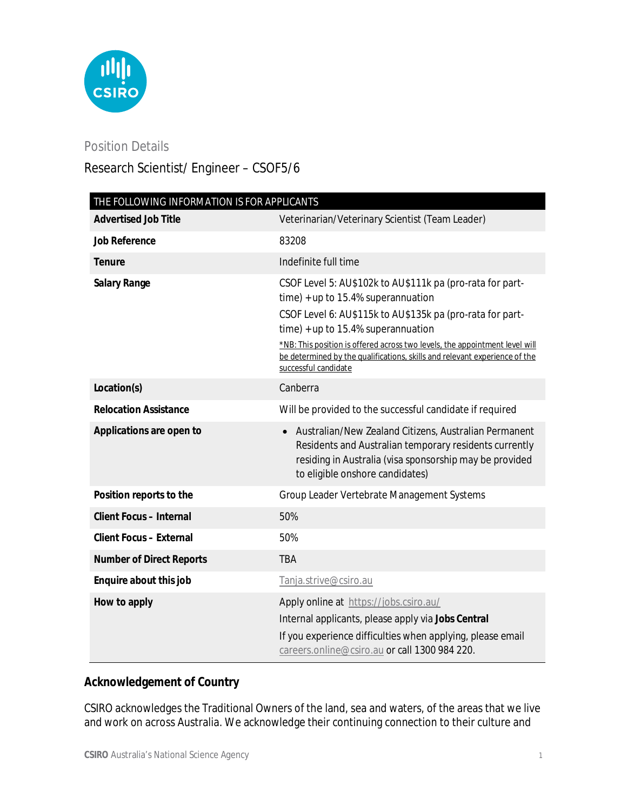

## Position Details

# Research Scientist/ Engineer – CSOF5/6

| THE FOLLOWING INFORMATION IS FOR APPLICANTS |                                                                                                                                                                                                                                                                                                                                                                                               |
|---------------------------------------------|-----------------------------------------------------------------------------------------------------------------------------------------------------------------------------------------------------------------------------------------------------------------------------------------------------------------------------------------------------------------------------------------------|
| <b>Advertised Job Title</b>                 | Veterinarian/Veterinary Scientist (Team Leader)                                                                                                                                                                                                                                                                                                                                               |
| <b>Job Reference</b>                        | 83208                                                                                                                                                                                                                                                                                                                                                                                         |
| <b>Tenure</b>                               | Indefinite full time                                                                                                                                                                                                                                                                                                                                                                          |
| <b>Salary Range</b>                         | CSOF Level 5: AU\$102k to AU\$111k pa (pro-rata for part-<br>$time$ ) + up to 15.4% superannuation<br>CSOF Level 6: AU\$115k to AU\$135k pa (pro-rata for part-<br>$time$ ) + up to 15.4% superannuation<br>*NB: This position is offered across two levels, the appointment level will<br>be determined by the qualifications, skills and relevant experience of the<br>successful candidate |
| Location(s)                                 | Canberra                                                                                                                                                                                                                                                                                                                                                                                      |
| <b>Relocation Assistance</b>                | Will be provided to the successful candidate if required                                                                                                                                                                                                                                                                                                                                      |
| Applications are open to                    | Australian/New Zealand Citizens, Australian Permanent<br>Residents and Australian temporary residents currently<br>residing in Australia (visa sponsorship may be provided<br>to eligible onshore candidates)                                                                                                                                                                                 |
| Position reports to the                     | Group Leader Vertebrate Management Systems                                                                                                                                                                                                                                                                                                                                                    |
| <b>Client Focus - Internal</b>              | 50%                                                                                                                                                                                                                                                                                                                                                                                           |
| <b>Client Focus - External</b>              | 50%                                                                                                                                                                                                                                                                                                                                                                                           |
| <b>Number of Direct Reports</b>             | <b>TBA</b>                                                                                                                                                                                                                                                                                                                                                                                    |
| Enquire about this job                      | Tanja.strive@csiro.au                                                                                                                                                                                                                                                                                                                                                                         |
| How to apply                                | Apply online at https://jobs.csiro.au/<br>Internal applicants, please apply via Jobs Central<br>If you experience difficulties when applying, please email<br>careers.online@csiro.au or call 1300 984 220.                                                                                                                                                                                   |

## **Acknowledgement of Country**

CSIRO acknowledges the Traditional Owners of the land, sea and waters, of the areas that we live and work on across Australia. We acknowledge their continuing connection to their culture and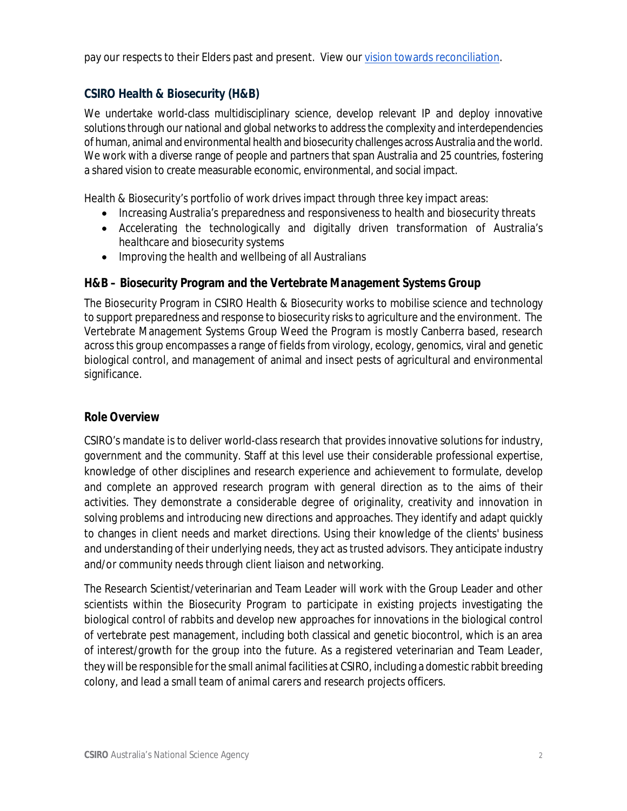pay our respects to their Elders past and present. View our *vision towards reconciliation*.

### **CSIRO Health & Biosecurity (H&B)**

We undertake world-class multidisciplinary science, develop relevant IP and deploy innovative solutions through our national and global networks to address the complexity and interdependencies of human, animal and environmental health and biosecurity challenges across Australia and the world. We work with a diverse range of people and partners that span Australia and 25 countries, fostering a shared vision to create measurable economic, environmental, and social impact.

Health & Biosecurity's portfolio of work drives impact through three key impact areas:

- Increasing Australia's preparedness and responsiveness to health and biosecurity threats
- Accelerating the technologically and digitally driven transformation of Australia's healthcare and biosecurity systems
- Improving the health and wellbeing of all Australians

## **H&B – Biosecurity Program and the Vertebrate Management Systems Group**

The Biosecurity Program in CSIRO Health & Biosecurity works to mobilise science and technology to support preparedness and response to biosecurity risks to agriculture and the environment. The Vertebrate Management Systems Group Weed the Program is mostly Canberra based, research across this group encompasses a range of fields from virology, ecology, genomics, viral and genetic biological control, and management of animal and insect pests of agricultural and environmental significance.

#### **Role Overview**

CSIRO's mandate is to deliver world-class research that provides innovative solutions for industry, government and the community. Staff at this level use their considerable professional expertise, knowledge of other disciplines and research experience and achievement to formulate, develop and complete an approved research program with general direction as to the aims of their activities. They demonstrate a considerable degree of originality, creativity and innovation in solving problems and introducing new directions and approaches. They identify and adapt quickly to changes in client needs and market directions. Using their knowledge of the clients' business and understanding of their underlying needs, they act as trusted advisors. They anticipate industry and/or community needs through client liaison and networking.

The Research Scientist/veterinarian and Team Leader will work with the Group Leader and other scientists within the Biosecurity Program to participate in existing projects investigating the biological control of rabbits and develop new approaches for innovations in the biological control of vertebrate pest management, including both classical and genetic biocontrol, which is an area of interest/growth for the group into the future. As a registered veterinarian and Team Leader, they will be responsible for the small animal facilities at CSIRO, including a domestic rabbit breeding colony, and lead a small team of animal carers and research projects officers.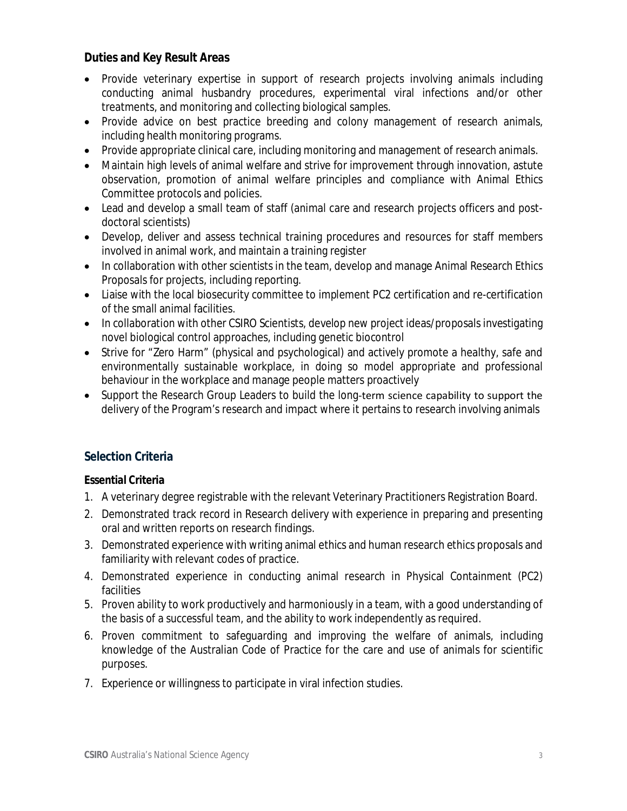## **Duties and Key Result Areas**

- Provide veterinary expertise in support of research projects involving animals including conducting animal husbandry procedures, experimental viral infections and/or other treatments, and monitoring and collecting biological samples.
- Provide advice on best practice breeding and colony management of research animals, including health monitoring programs.
- Provide appropriate clinical care, including monitoring and management of research animals.
- Maintain high levels of animal welfare and strive for improvement through innovation, astute observation, promotion of animal welfare principles and compliance with Animal Ethics Committee protocols and policies.
- Lead and develop a small team of staff (animal care and research projects officers and postdoctoral scientists)
- Develop, deliver and assess technical training procedures and resources for staff members involved in animal work, and maintain a training register
- In collaboration with other scientists in the team, develop and manage Animal Research Ethics Proposals for projects, including reporting.
- Liaise with the local biosecurity committee to implement PC2 certification and re-certification of the small animal facilities.
- In collaboration with other CSIRO Scientists, develop new project ideas/proposals investigating novel biological control approaches, including genetic biocontrol
- Strive for "Zero Harm" (physical and psychological) and actively promote a healthy, safe and environmentally sustainable workplace, in doing so model appropriate and professional behaviour in the workplace and manage people matters proactively
- Support the Research Group Leaders to build the long-term science capability to support the delivery of the Program's research and impact where it pertains to research involving animals

## **Selection Criteria**

#### **Essential Criteria**

- 1. A veterinary degree registrable with the relevant Veterinary Practitioners Registration Board.
- 2. Demonstrated track record in Research delivery with experience in preparing and presenting oral and written reports on research findings.
- 3. Demonstrated experience with writing animal ethics and human research ethics proposals and familiarity with relevant codes of practice.
- 4. Demonstrated experience in conducting animal research in Physical Containment (PC2) facilities
- 5. Proven ability to work productively and harmoniously in a team, with a good understanding of the basis of a successful team, and the ability to work independently as required.
- 6. Proven commitment to safeguarding and improving the welfare of animals, including knowledge of the Australian Code of Practice for the care and use of animals for scientific purposes.
- 7. Experience or willingness to participate in viral infection studies.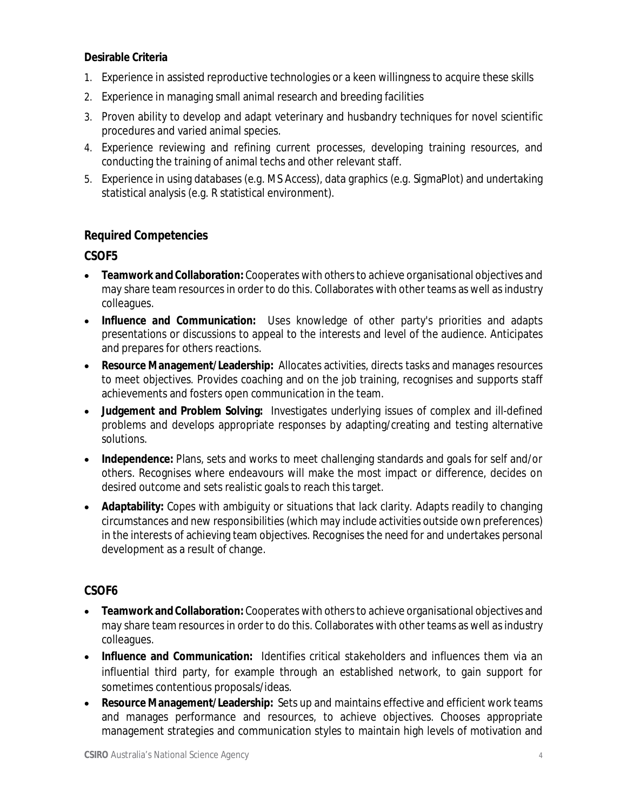#### **Desirable Criteria**

- 1. Experience in assisted reproductive technologies or a keen willingness to acquire these skills
- 2. Experience in managing small animal research and breeding facilities
- 3. Proven ability to develop and adapt veterinary and husbandry techniques for novel scientific procedures and varied animal species.
- 4. Experience reviewing and refining current processes, developing training resources, and conducting the training of animal techs and other relevant staff.
- 5. Experience in using databases (e.g. MS Access), data graphics (e.g. SigmaPlot) and undertaking statistical analysis (e.g. R statistical environment).

## **Required Competencies**

#### **CSOF5**

- **Teamwork and Collaboration:** Cooperates with others to achieve organisational objectives and may share team resources in order to do this. Collaborates with other teams as well as industry colleagues.
- **Influence and Communication:** Uses knowledge of other party's priorities and adapts presentations or discussions to appeal to the interests and level of the audience. Anticipates and prepares for others reactions.
- **Resource Management/Leadership:** Allocates activities, directs tasks and manages resources to meet objectives. Provides coaching and on the job training, recognises and supports staff achievements and fosters open communication in the team.
- **Judgement and Problem Solving:** Investigates underlying issues of complex and ill-defined problems and develops appropriate responses by adapting/creating and testing alternative solutions.
- **Independence:** Plans, sets and works to meet challenging standards and goals for self and/or others. Recognises where endeavours will make the most impact or difference, decides on desired outcome and sets realistic goals to reach this target.
- **Adaptability:** Copes with ambiguity or situations that lack clarity. Adapts readily to changing circumstances and new responsibilities (which may include activities outside own preferences) in the interests of achieving team objectives. Recognises the need for and undertakes personal development as a result of change.

## **CSOF6**

- **Teamwork and Collaboration:** Cooperates with others to achieve organisational objectives and may share team resources in order to do this. Collaborates with other teams as well as industry colleagues.
- **Influence and Communication:** Identifies critical stakeholders and influences them via an influential third party, for example through an established network, to gain support for sometimes contentious proposals/ideas.
- **Resource Management/Leadership:** Sets up and maintains effective and efficient work teams and manages performance and resources, to achieve objectives. Chooses appropriate management strategies and communication styles to maintain high levels of motivation and